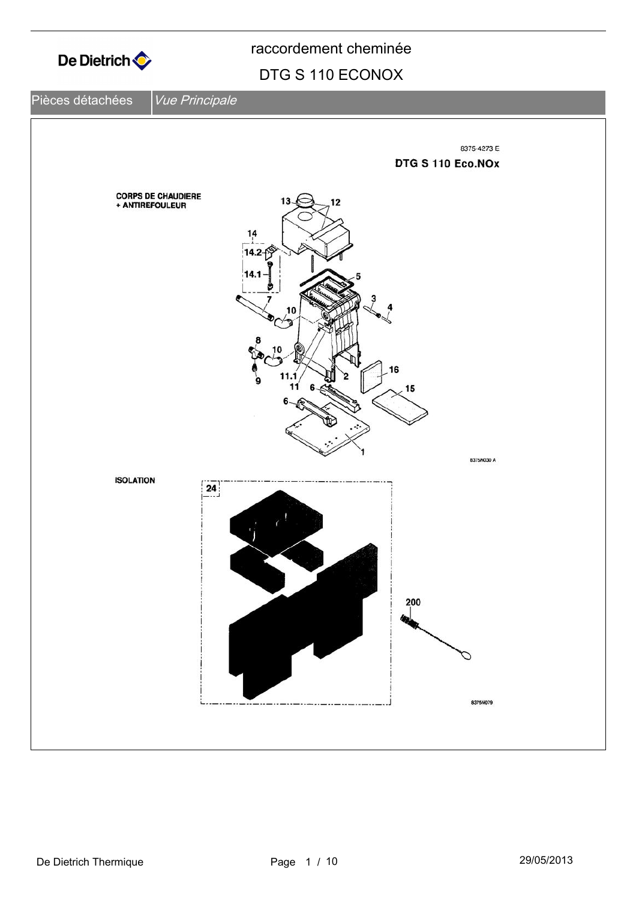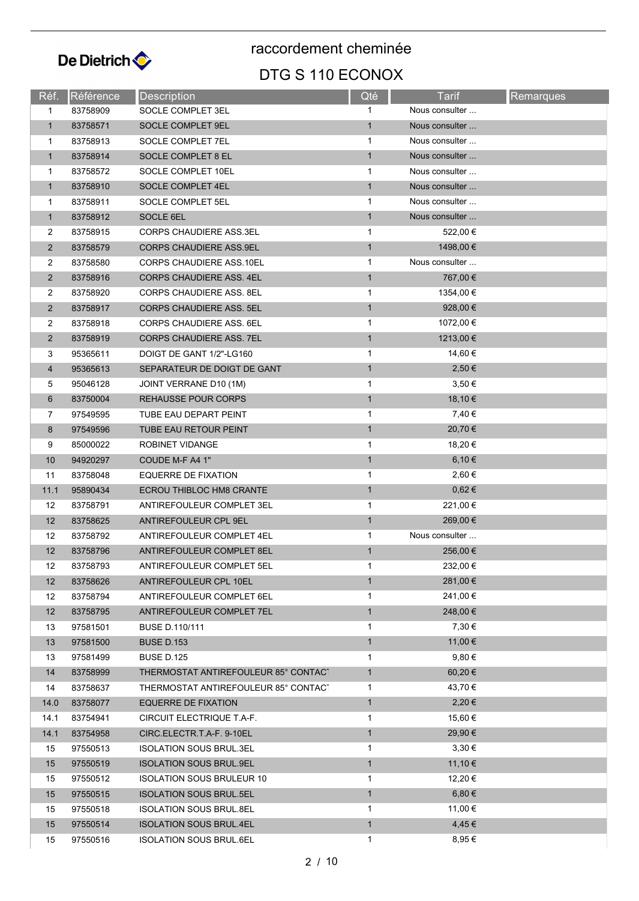

| Réf.           | Référence | <b>Description</b>                   | Qté          | Tarif             | Remarques |
|----------------|-----------|--------------------------------------|--------------|-------------------|-----------|
| 1              | 83758909  | SOCLE COMPLET 3EL                    | 1            | Nous consulter    |           |
| $\mathbf{1}$   | 83758571  | SOCLE COMPLET 9EL                    | $\mathbf{1}$ | Nous consulter    |           |
| 1              | 83758913  | SOCLE COMPLET 7EL                    | 1            | Nous consulter    |           |
| $\mathbf{1}$   | 83758914  | SOCLE COMPLET 8 EL                   | $\mathbf{1}$ | Nous consulter    |           |
| 1              | 83758572  | SOCLE COMPLET 10EL                   | 1            | Nous consulter    |           |
| $\mathbf{1}$   | 83758910  | SOCLE COMPLET 4EL                    | $\mathbf{1}$ | Nous consulter    |           |
| 1              | 83758911  | SOCLE COMPLET 5EL                    | $\mathbf{1}$ | Nous consulter    |           |
| $\mathbf{1}$   | 83758912  | SOCLE 6EL                            | $\mathbf{1}$ | Nous consulter    |           |
| 2              | 83758915  | <b>CORPS CHAUDIERE ASS.3EL</b>       | 1            | 522,00 €          |           |
| $\overline{2}$ | 83758579  | <b>CORPS CHAUDIERE ASS.9EL</b>       | $\mathbf{1}$ | 1498,00 €         |           |
| $\overline{2}$ | 83758580  | CORPS CHAUDIERE ASS.10EL             | 1            | Nous consulter    |           |
| $\overline{2}$ | 83758916  | <b>CORPS CHAUDIERE ASS. 4EL</b>      | $\mathbf{1}$ | 767,00 €          |           |
| 2              | 83758920  | <b>CORPS CHAUDIERE ASS. 8EL</b>      | 1            | 1354,00 €         |           |
| $\overline{2}$ | 83758917  | CORPS CHAUDIERE ASS. 5EL             | $\mathbf{1}$ | 928,00 $\epsilon$ |           |
| $\overline{2}$ | 83758918  | <b>CORPS CHAUDIERE ASS, 6EL</b>      | 1            | 1072,00 €         |           |
| 2              | 83758919  | <b>CORPS CHAUDIERE ASS. 7EL</b>      | $\mathbf{1}$ | 1213,00 €         |           |
| 3              | 95365611  | DOIGT DE GANT 1/2"-LG160             | 1            | 14,60 €           |           |
| $\overline{4}$ | 95365613  | SEPARATEUR DE DOIGT DE GANT          | $\mathbf{1}$ | 2,50€             |           |
| 5              | 95046128  | JOINT VERRANE D10 (1M)               | 1            | $3,50 \in$        |           |
| 6              | 83750004  | <b>REHAUSSE POUR CORPS</b>           | $\mathbf{1}$ | 18,10 €           |           |
| 7              | 97549595  | TUBE EAU DEPART PEINT                | 1            | 7,40 €            |           |
| 8              | 97549596  | TUBE EAU RETOUR PEINT                | $\mathbf{1}$ | 20,70 €           |           |
| 9              | 85000022  | ROBINET VIDANGE                      | 1            | 18,20 €           |           |
| 10             | 94920297  | COUDE M-F A4 1"                      | $\mathbf{1}$ | 6,10€             |           |
| 11             | 83758048  | EQUERRE DE FIXATION                  | 1            | 2,60 €            |           |
| 11.1           | 95890434  | ECROU THIBLOC HM8 CRANTE             | $\mathbf{1}$ | $0,62 \in$        |           |
| 12             | 83758791  | ANTIREFOULEUR COMPLET 3EL            | 1            | 221,00 €          |           |
| 12             | 83758625  | ANTIREFOULEUR CPL 9EL                | $\mathbf{1}$ | 269,00 €          |           |
| 12             | 83758792  | ANTIREFOULEUR COMPLET 4EL            | 1            | Nous consulter    |           |
| 12             | 83758796  | <b>ANTIREFOULEUR COMPLET 8EL</b>     | $\mathbf{1}$ | 256,00 €          |           |
| 12             | 83758793  | ANTIREFOULEUR COMPLET 5EL            | $\mathbf{1}$ | 232,00 €          |           |
| 12             | 83758626  | <b>ANTIREFOULEUR CPL 10EL</b>        | $\mathbf{1}$ | 281,00 €          |           |
| 12             | 83758794  | ANTIREFOULEUR COMPLET 6EL            | 1            | 241,00 €          |           |
| 12             | 83758795  | ANTIREFOULEUR COMPLET 7EL            | $\mathbf{1}$ | 248,00 €          |           |
| 13             | 97581501  | <b>BUSE D.110/111</b>                | 1            | 7,30€             |           |
| 13             | 97581500  | <b>BUSE D.153</b>                    | $\mathbf{1}$ | 11,00 €           |           |
| 13             | 97581499  | BUSE D.125                           | 1            | $9,80 \in$        |           |
| 14             | 83758999  | THERMOSTAT ANTIREFOULEUR 85° CONTACT | $\mathbf{1}$ | 60,20 €           |           |
| 14             | 83758637  | THERMOSTAT ANTIREFOULEUR 85° CONTACT | 1            | 43,70 €           |           |
| 14.0           | 83758077  | <b>EQUERRE DE FIXATION</b>           | $\mathbf{1}$ | 2,20€             |           |
| 14.1           | 83754941  | CIRCUIT ELECTRIQUE T.A-F.            | 1            | 15,60 €           |           |
| 14.1           | 83754958  | CIRC.ELECTR.T.A-F. 9-10EL            | $\mathbf{1}$ | 29,90 €           |           |
| 15             | 97550513  | <b>ISOLATION SOUS BRUL.3EL</b>       | 1            | $3,30 \in$        |           |
| 15             | 97550519  | <b>ISOLATION SOUS BRUL.9EL</b>       | $\mathbf{1}$ | 11,10 €           |           |
| 15             | 97550512  | <b>ISOLATION SOUS BRULEUR 10</b>     | 1            | 12,20 €           |           |
| 15             | 97550515  | <b>ISOLATION SOUS BRUL.5EL</b>       | $\mathbf{1}$ | $6,80 \in$        |           |
| 15             | 97550518  | <b>ISOLATION SOUS BRUL.8EL</b>       | 1            | 11,00 €           |           |
| 15             | 97550514  | <b>ISOLATION SOUS BRUL.4EL</b>       | $\mathbf{1}$ | 4,45 €            |           |
| 15             | 97550516  | <b>ISOLATION SOUS BRUL.6EL</b>       | 1            | 8,95 €            |           |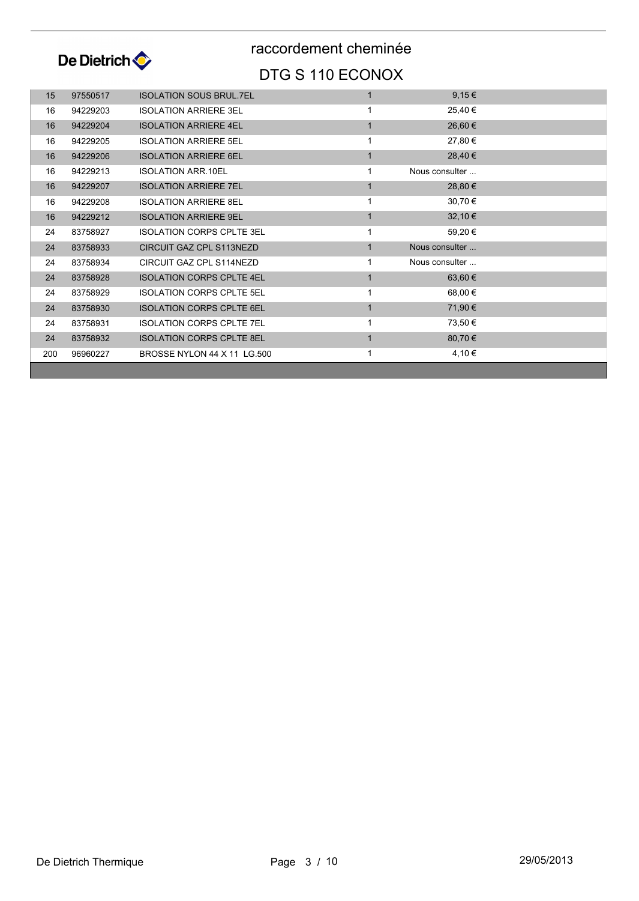

| 15  | 97550517 | <b>ISOLATION SOUS BRUL.7EL</b>   |              | 9,15€          |  |
|-----|----------|----------------------------------|--------------|----------------|--|
| 16  | 94229203 | <b>ISOLATION ARRIERE 3EL</b>     |              | 25,40 €        |  |
| 16  | 94229204 | <b>ISOLATION ARRIERE 4EL</b>     | 1            | 26,60 €        |  |
| 16  | 94229205 | <b>ISOLATION ARRIERE 5EL</b>     |              | 27,80 €        |  |
| 16  | 94229206 | <b>ISOLATION ARRIERE 6EL</b>     | $\mathbf{1}$ | 28,40 €        |  |
| 16  | 94229213 | <b>ISOLATION ARR 10EL</b>        |              | Nous consulter |  |
| 16  | 94229207 | <b>ISOLATION ARRIERE 7EL</b>     | 1            | 28,80 €        |  |
| 16  | 94229208 | <b>ISOLATION ARRIERE 8EL</b>     | 1            | 30,70 €        |  |
| 16  | 94229212 | <b>ISOLATION ARRIERE 9EL</b>     |              | 32,10€         |  |
| 24  | 83758927 | <b>ISOLATION CORPS CPLTE 3EL</b> | 1            | 59,20 €        |  |
| 24  | 83758933 | CIRCUIT GAZ CPL S113NEZD         | $\mathbf{1}$ | Nous consulter |  |
| 24  | 83758934 | CIRCUIT GAZ CPL S114NEZD         |              | Nous consulter |  |
| 24  | 83758928 | <b>ISOLATION CORPS CPLTE 4EL</b> | $\mathbf{1}$ | 63,60 €        |  |
| 24  | 83758929 | <b>ISOLATION CORPS CPLTE 5EL</b> | 1            | 68,00 €        |  |
| 24  | 83758930 | <b>ISOLATION CORPS CPLTE 6EL</b> |              | 71,90 €        |  |
| 24  | 83758931 | <b>ISOLATION CORPS CPLTE 7EL</b> |              | 73,50 €        |  |
| 24  | 83758932 | <b>ISOLATION CORPS CPLTE 8EL</b> | $\mathbf{1}$ | 80,70 €        |  |
| 200 | 96960227 | BROSSE NYLON 44 X 11 LG.500      | 1            | 4,10 €         |  |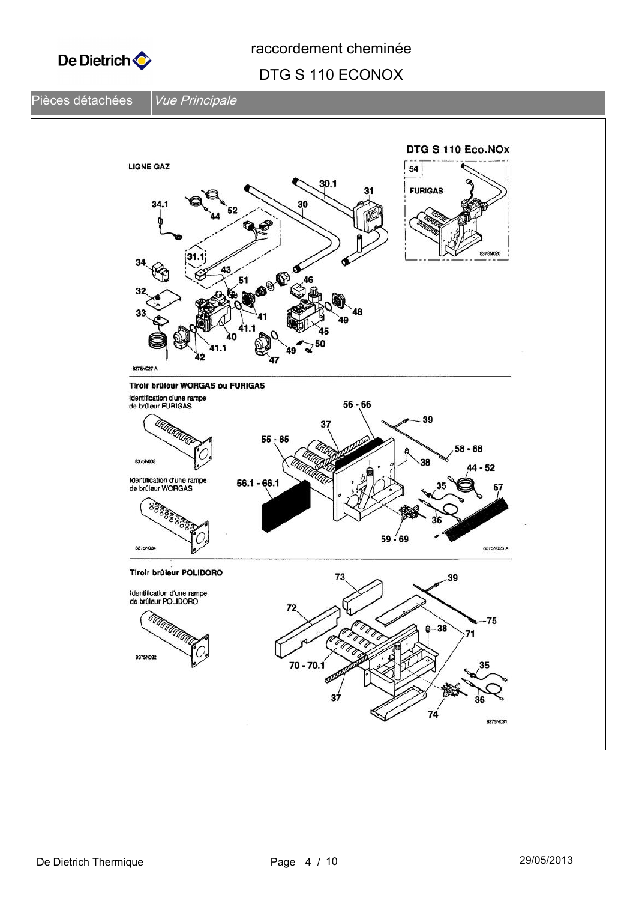

#### DTG S 110 ECONOX

#### Pièces détachées *Vue Principale*

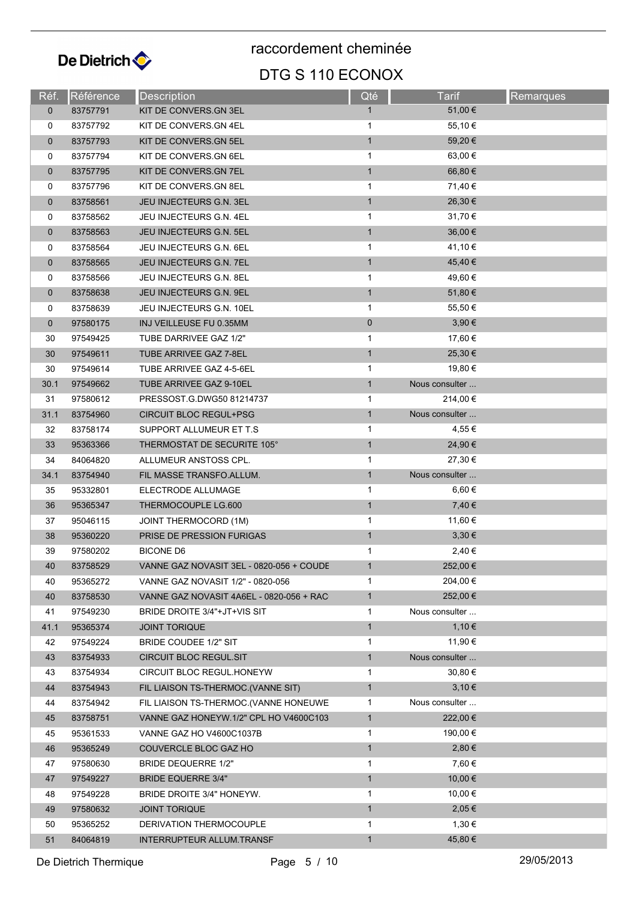

| Réf.        | Référence | Description                              | Qté          | Tarif           | <b>Remarques</b> |
|-------------|-----------|------------------------------------------|--------------|-----------------|------------------|
| $\mathbf 0$ | 83757791  | KIT DE CONVERS.GN 3EL                    | $\mathbf{1}$ | 51,00 €         |                  |
| 0           | 83757792  | KIT DE CONVERS.GN 4EL                    | 1            | 55,10 €         |                  |
| $\mathbf 0$ | 83757793  | KIT DE CONVERS. GN 5EL                   | $\mathbf{1}$ | 59,20 €         |                  |
| 0           | 83757794  | KIT DE CONVERS.GN 6EL                    | $\mathbf{1}$ | 63,00 €         |                  |
| $\mathbf 0$ | 83757795  | KIT DE CONVERS GN 7EL                    | $\mathbf{1}$ | 66,80 €         |                  |
| 0           | 83757796  | KIT DE CONVERS.GN 8EL                    | 1            | 71,40 €         |                  |
| $\mathbf 0$ | 83758561  | <b>JEU INJECTEURS G.N. 3EL</b>           | $\mathbf{1}$ | 26,30 €         |                  |
| 0           | 83758562  | JEU INJECTEURS G.N. 4EL                  | 1            | 31,70 €         |                  |
| $\mathbf 0$ | 83758563  | JEU INJECTEURS G.N. 5EL                  | $\mathbf{1}$ | 36,00 €         |                  |
| 0           | 83758564  | JEU INJECTEURS G.N. 6EL                  | 1            | 41,10 €         |                  |
| $\mathbf 0$ | 83758565  | <b>JEU INJECTEURS G.N. 7EL</b>           | $\mathbf{1}$ | 45,40 €         |                  |
| 0           | 83758566  | JEU INJECTEURS G.N. 8EL                  | $\mathbf{1}$ | 49,60 €         |                  |
| $\mathbf 0$ | 83758638  | JEU INJECTEURS G.N. 9EL                  | $\mathbf{1}$ | 51,80 €         |                  |
| 0           | 83758639  | JEU INJECTEURS G.N. 10EL                 | $\mathbf{1}$ | 55,50 €         |                  |
| $\mathbf 0$ | 97580175  | INJ VEILLEUSE FU 0.35MM                  | 0            | 3,90 €          |                  |
| 30          | 97549425  | TUBE DARRIVEE GAZ 1/2"                   | 1            | 17,60 €         |                  |
| 30          | 97549611  | TUBE ARRIVEE GAZ 7-8EL                   | $\mathbf{1}$ | 25,30 €         |                  |
| 30          | 97549614  | TUBE ARRIVEE GAZ 4-5-6EL                 | 1            | 19,80 €         |                  |
| 30.1        | 97549662  | TUBE ARRIVEE GAZ 9-10EL                  | $\mathbf{1}$ | Nous consulter  |                  |
| 31          | 97580612  | PRESSOST.G.DWG50 81214737                | $\mathbf{1}$ | 214,00 €        |                  |
| 31.1        | 83754960  | CIRCUIT BLOC REGUL+PSG                   | $\mathbf{1}$ | Nous consulter  |                  |
| 32          | 83758174  | SUPPORT ALLUMEUR ET T.S                  | 1            | 4,55 €          |                  |
| 33          | 95363366  | THERMOSTAT DE SECURITE 105°              | $\mathbf{1}$ | 24,90 €         |                  |
| 34          | 84064820  | ALLUMEUR ANSTOSS CPL.                    | 1            | 27,30 €         |                  |
| 34.1        | 83754940  | FIL MASSE TRANSFO.ALLUM.                 | $\mathbf{1}$ | Nous consulter  |                  |
| 35          | 95332801  | ELECTRODE ALLUMAGE                       | $\mathbf{1}$ | 6,60 $\epsilon$ |                  |
| 36          | 95365347  | THERMOCOUPLE LG.600                      | $\mathbf{1}$ | 7,40 €          |                  |
| 37          | 95046115  | <b>JOINT THERMOCORD (1M)</b>             | 1            | 11,60 €         |                  |
| 38          | 95360220  | PRISE DE PRESSION FURIGAS                | $\mathbf{1}$ | $3,30 \in$      |                  |
| 39          | 97580202  | <b>BICONE D6</b>                         | $\mathbf{1}$ | 2,40€           |                  |
| 40          | 83758529  | VANNE GAZ NOVASIT 3EL - 0820-056 + COUDE | $\mathbf{1}$ | 252,00€         |                  |
| 40          | 95365272  | VANNE GAZ NOVASIT 1/2" - 0820-056        | $\mathbf{1}$ | 204,00 €        |                  |
| 40          | 83758530  | VANNE GAZ NOVASIT 4A6EL - 0820-056 + RAC | $\mathbf{1}$ | 252,00 €        |                  |
| 41          | 97549230  | BRIDE DROITE 3/4"+JT+VIS SIT             | 1            | Nous consulter  |                  |
| 41.1        | 95365374  | <b>JOINT TORIQUE</b>                     | $\mathbf{1}$ | 1,10€           |                  |
| 42          | 97549224  | BRIDE COUDEE 1/2" SIT                    | 1            | 11,90 €         |                  |
| 43          | 83754933  | <b>CIRCUIT BLOC REGUL.SIT</b>            | $\mathbf{1}$ | Nous consulter  |                  |
| 43          | 83754934  | CIRCUIT BLOC REGUL.HONEYW                | 1            | 30,80 €         |                  |
| 44          | 83754943  | FIL LIAISON TS-THERMOC. (VANNE SIT)      | $\mathbf{1}$ | 3,10€           |                  |
| 44          | 83754942  | FIL LIAISON TS-THERMOC.(VANNE HONEUWE    | 1            | Nous consulter  |                  |
| 45          | 83758751  | VANNE GAZ HONEYW.1/2" CPL HO V4600C103   | $\mathbf{1}$ | 222,00 €        |                  |
| 45          | 95361533  | VANNE GAZ HO V4600C1037B                 | 1            | 190,00 €        |                  |
| 46          | 95365249  | COUVERCLE BLOC GAZ HO                    | $\mathbf{1}$ | 2,80€           |                  |
| 47          | 97580630  | BRIDE DEQUERRE 1/2"                      | 1            | 7,60 €          |                  |
| 47          | 97549227  | <b>BRIDE EQUERRE 3/4"</b>                | $\mathbf{1}$ | 10,00 €         |                  |
| 48          | 97549228  | BRIDE DROITE 3/4" HONEYW.                | 1            | 10,00 €         |                  |
| 49          | 97580632  | <b>JOINT TORIQUE</b>                     | $\mathbf{1}$ | 2,05€           |                  |
| 50          | 95365252  | DERIVATION THERMOCOUPLE                  | 1            | 1,30 €          |                  |
| 51          | 84064819  | INTERRUPTEUR ALLUM.TRANSF                | $\mathbf{1}$ | 45,80 €         |                  |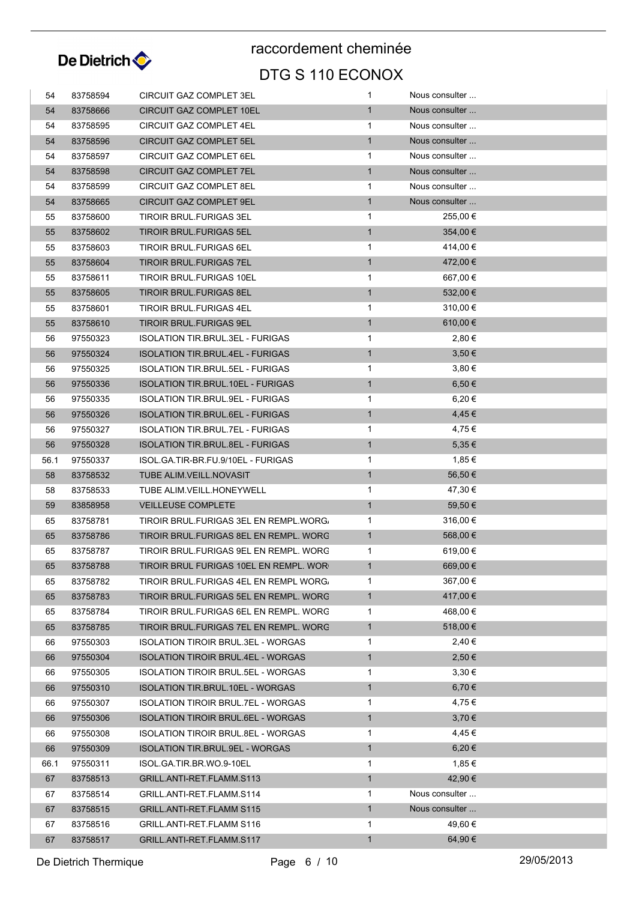

# DTG S 110 ECONOX raccordement cheminée

| 54   | 83758594 | <b>CIRCUIT GAZ COMPLET 3EL</b>            | $\mathbf{1}$ | Nous consulter |
|------|----------|-------------------------------------------|--------------|----------------|
| 54   | 83758666 | <b>CIRCUIT GAZ COMPLET 10EL</b>           | $\mathbf{1}$ | Nous consulter |
| 54   | 83758595 | CIRCUIT GAZ COMPLET 4EL                   | $\mathbf{1}$ | Nous consulter |
| 54   | 83758596 | <b>CIRCUIT GAZ COMPLET 5EL</b>            | $\mathbf{1}$ | Nous consulter |
| 54   | 83758597 | <b>CIRCUIT GAZ COMPLET 6EL</b>            | 1            | Nous consulter |
| 54   | 83758598 | <b>CIRCUIT GAZ COMPLET 7EL</b>            | $\mathbf{1}$ | Nous consulter |
| 54   | 83758599 | <b>CIRCUIT GAZ COMPLET 8EL</b>            | 1            | Nous consulter |
| 54   | 83758665 | CIRCUIT GAZ COMPLET 9EL                   | $\mathbf{1}$ | Nous consulter |
| 55   | 83758600 | TIROIR BRUL.FURIGAS 3EL                   | 1            | 255,00 €       |
| 55   | 83758602 | <b>TIROIR BRUL FURIGAS 5EL</b>            | $\mathbf{1}$ | $354,00 \in$   |
| 55   | 83758603 | <b>TIROIR BRUL FURIGAS 6EL</b>            | $\mathbf{1}$ | 414,00 €       |
| 55   | 83758604 | <b>TIROIR BRUL.FURIGAS 7EL</b>            | $\mathbf{1}$ | 472,00 €       |
| 55   | 83758611 | TIROIR BRUL.FURIGAS 10EL                  | 1            | 667,00 €       |
| 55   | 83758605 | <b>TIROIR BRUL.FURIGAS 8EL</b>            | $\mathbf{1}$ | 532,00 €       |
| 55   | 83758601 | TIROIR BRUL FURIGAS 4EL                   | $\mathbf{1}$ | 310,00 €       |
| 55   | 83758610 | TIROIR BRUL.FURIGAS 9EL                   | $\mathbf{1}$ | 610,00 €       |
| 56   | 97550323 | <b>ISOLATION TIR.BRUL.3EL - FURIGAS</b>   | 1            | 2,80 €         |
| 56   | 97550324 | <b>ISOLATION TIR.BRUL.4EL - FURIGAS</b>   | $\mathbf{1}$ | 3,50€          |
| 56   | 97550325 | <b>ISOLATION TIR BRUL 5EL - FURIGAS</b>   | 1            | 3,80€          |
| 56   | 97550336 | <b>ISOLATION TIR.BRUL.10EL - FURIGAS</b>  | $\mathbf{1}$ | $6,50 \in$     |
| 56   | 97550335 | <b>ISOLATION TIR.BRUL.9EL - FURIGAS</b>   | $\mathbf{1}$ | 6,20 €         |
| 56   | 97550326 | <b>ISOLATION TIR.BRUL.6EL - FURIGAS</b>   | $\mathbf{1}$ | 4,45 €         |
| 56   | 97550327 | ISOLATION TIR.BRUL.7EL - FURIGAS          | $\mathbf 1$  | 4,75 €         |
| 56   | 97550328 | ISOLATION TIR.BRUL.8EL - FURIGAS          | $\mathbf{1}$ | 5,35€          |
| 56.1 | 97550337 | ISOL.GA.TIR-BR.FU.9/10EL - FURIGAS        | 1            | 1,85 €         |
| 58   | 83758532 | TUBE ALIM.VEILL.NOVASIT                   | $\mathbf{1}$ | 56,50 €        |
| 58   | 83758533 | TUBE ALIM.VEILL.HONEYWELL                 | 1            | 47,30 €        |
| 59   | 83858958 | <b>VEILLEUSE COMPLETE</b>                 | $\mathbf{1}$ | 59,50 €        |
| 65   | 83758781 | TIROIR BRUL.FURIGAS 3EL EN REMPL.WORG.    | $\mathbf{1}$ | 316,00 €       |
| 65   | 83758786 | TIROIR BRUL.FURIGAS 8EL EN REMPL. WORC    | $\mathbf{1}$ | 568,00 €       |
|      | 83758787 | TIROIR BRUL FURIGAS 9EL EN REMPL. WORC    | $\mathbf 1$  | 619,00 €       |
| 65   |          | TIROIR BRUL FURIGAS 10EL EN REMPL. WOR    | 1            |                |
| 65   | 83758788 |                                           |              | 669,00 €       |
| 65   | 83758782 | TIROIR BRUL FURIGAS 4EL EN REMPL WORG.    | 1            | 367,00 €       |
| 65   | 83758783 | TIROIR BRUL FURIGAS 5EL EN REMPL. WORC    | $\mathbf{1}$ | 417,00 €       |
| 65   | 83758784 | TIROIR BRUL FURIGAS 6EL EN REMPL. WORC    | $\mathbf{1}$ | 468,00 €       |
| 65   | 83758785 | TIROIR BRUL.FURIGAS 7EL EN REMPL. WORC    | $\mathbf{1}$ | 518,00 €       |
| 66   | 97550303 | <b>ISOLATION TIROIR BRUL.3EL - WORGAS</b> | $\mathbf 1$  | 2,40 €         |
| 66   | 97550304 | <b>ISOLATION TIROIR BRUL.4EL - WORGAS</b> | $\mathbf{1}$ | 2,50€          |
| 66   | 97550305 | ISOLATION TIROIR BRUL.5EL - WORGAS        | $\mathbf 1$  | 3,30€          |
| 66   | 97550310 | ISOLATION TIR.BRUL.10EL - WORGAS          | $\mathbf{1}$ | 6,70 €         |
| 66   | 97550307 | <b>ISOLATION TIROIR BRUL.7EL - WORGAS</b> | 1            | 4,75 €         |
| 66   | 97550306 | <b>ISOLATION TIROIR BRUL.6EL - WORGAS</b> | $\mathbf{1}$ | 3,70€          |
| 66   | 97550308 | ISOLATION TIROIR BRUL.8EL - WORGAS        | 1            | 4,45 €         |
| 66   | 97550309 | ISOLATION TIR.BRUL.9EL - WORGAS           | $\mathbf{1}$ | 6,20€          |
| 66.1 | 97550311 | ISOL GA TIR BR WO 9-10EL                  | $\mathbf 1$  | 1,85 €         |
| 67   | 83758513 | GRILL.ANTI-RET.FLAMM.S113                 | $\mathbf{1}$ | 42,90 €        |
| 67   | 83758514 | GRILL.ANTI-RET.FLAMM.S114                 | $\mathbf 1$  | Nous consulter |
| 67   | 83758515 | GRILL.ANTI-RET.FLAMM S115                 | $\mathbf{1}$ | Nous consulter |
| 67   | 83758516 | GRILL.ANTI-RET.FLAMM S116                 | 1            | 49,60 €        |
| 67   | 83758517 | GRILL.ANTI-RET.FLAMM.S117                 | $\mathbf{1}$ | 64,90 €        |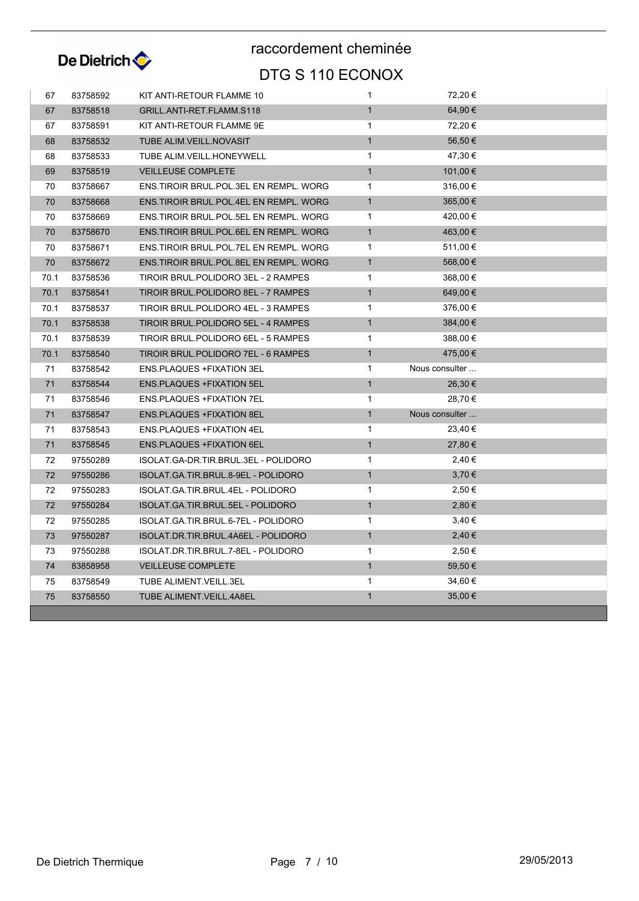

DTG S 110 ECONOX raccordement cheminée

| 67   | 83758592 | KIT ANTI-RETOUR FLAMME 10                 | $\mathbf{1}$ | 72,20 €        |  |
|------|----------|-------------------------------------------|--------------|----------------|--|
| 67   | 83758518 | GRILL.ANTI-RET.FLAMM.S118                 | $\mathbf{1}$ | 64,90 €        |  |
| 67   | 83758591 | KIT ANTI-RETOUR FLAMME 9E                 | 1            | 72,20 €        |  |
| 68   | 83758532 | TUBE ALIM.VEILL.NOVASIT                   | $\mathbf{1}$ | 56,50 €        |  |
| 68   | 83758533 | TUBE ALIM.VEILL.HONEYWELL                 | $\mathbf{1}$ | 47,30 €        |  |
| 69   | 83758519 | <b>VEILLEUSE COMPLETE</b>                 | $\mathbf{1}$ | 101,00 €       |  |
| 70   | 83758667 | ENS.TIROIR BRUL.POL.3EL EN REMPL. WORG    | $\mathbf{1}$ | 316,00 €       |  |
| 70   | 83758668 | ENS. TIROIR BRUL. POL. 4EL EN REMPL. WORG | $\mathbf{1}$ | 365,00 €       |  |
| 70   | 83758669 | ENS.TIROIR BRUL.POL.5EL EN REMPL. WORG    | $\mathbf{1}$ | 420,00 €       |  |
| 70   | 83758670 | ENS.TIROIR BRUL.POL.6EL EN REMPL. WORG    | $\mathbf{1}$ | 463,00 €       |  |
| 70   | 83758671 | ENS. TIROIR BRUL. POL. 7EL EN REMPL. WORG | $\mathbf{1}$ | 511,00 €       |  |
| 70   | 83758672 | ENS.TIROIR BRUL.POL.8EL EN REMPL. WORG    | $\mathbf{1}$ | 568,00 €       |  |
| 70.1 | 83758536 | TIROIR BRUL.POLIDORO 3EL - 2 RAMPES       | $\mathbf{1}$ | 368,00 €       |  |
| 70.1 | 83758541 | TIROIR BRUL.POLIDORO 8EL - 7 RAMPES       | $\mathbf{1}$ | 649,00 €       |  |
| 70.1 | 83758537 | TIROIR BRUL.POLIDORO 4EL - 3 RAMPES       | $\mathbf{1}$ | 376,00 €       |  |
| 70.1 | 83758538 | TIROIR BRUL.POLIDORO 5EL - 4 RAMPES       | $\mathbf{1}$ | 384,00 €       |  |
| 70.1 | 83758539 | TIROIR BRUL POLIDORO 6EL - 5 RAMPES       | $\mathbf{1}$ | 388,00 €       |  |
| 70.1 | 83758540 | TIROIR BRUL.POLIDORO 7EL - 6 RAMPES       | $\mathbf{1}$ | 475,00 €       |  |
| 71   | 83758542 | <b>ENS.PLAQUES +FIXATION 3EL</b>          | $\mathbf{1}$ | Nous consulter |  |
| 71   | 83758544 | ENS.PLAQUES +FIXATION 5EL                 | $\mathbf{1}$ | 26,30 €        |  |
| 71   | 83758546 | <b>ENS.PLAQUES +FIXATION 7EL</b>          | $\mathbf{1}$ | 28,70 €        |  |
| 71   | 83758547 | ENS.PLAQUES +FIXATION 8EL                 | $\mathbf{1}$ | Nous consulter |  |
| 71   | 83758543 | <b>ENS.PLAQUES +FIXATION 4EL</b>          | $\mathbf{1}$ | $23,40 \in$    |  |
| 71   | 83758545 | ENS.PLAQUES +FIXATION 6EL                 | $\mathbf{1}$ | 27,80 €        |  |
| 72   | 97550289 | ISOLAT GA-DR TIR BRUL 3EL - POLIDORO      | $\mathbf{1}$ | 2,40 €         |  |
| 72   | 97550286 | ISOLAT.GA.TIR.BRUL.8-9EL - POLIDORO       | $\mathbf{1}$ | 3,70 €         |  |
| 72   | 97550283 | ISOLAT GA TIR BRUL 4EL - POLIDORO         | $\mathbf 1$  | 2,50€          |  |
| 72   | 97550284 | ISOLAT.GA.TIR.BRUL.5EL - POLIDORO         | $\mathbf{1}$ | 2,80 €         |  |
| 72   | 97550285 | ISOLAT.GA.TIR.BRUL.6-7EL - POLIDORO       | $\mathbf{1}$ | 3,40€          |  |
| 73   | 97550287 | ISOLAT.DR.TIR.BRUL.4A6EL - POLIDORO       | $\mathbf{1}$ | 2,40 €         |  |
| 73   | 97550288 | ISOLAT.DR.TIR.BRUL.7-8EL - POLIDORO       | $\mathbf{1}$ | 2,50€          |  |
| 74   | 83858958 | <b>VEILLEUSE COMPLETE</b>                 | $\mathbf{1}$ | 59,50 €        |  |
| 75   | 83758549 | TUBE ALIMENT VEILL.3EL                    | 1            | 34,60 €        |  |
| 75   | 83758550 | TUBE ALIMENT.VEILL.4A8EL                  | $\mathbf{1}$ | 35,00 €        |  |
|      |          |                                           |              |                |  |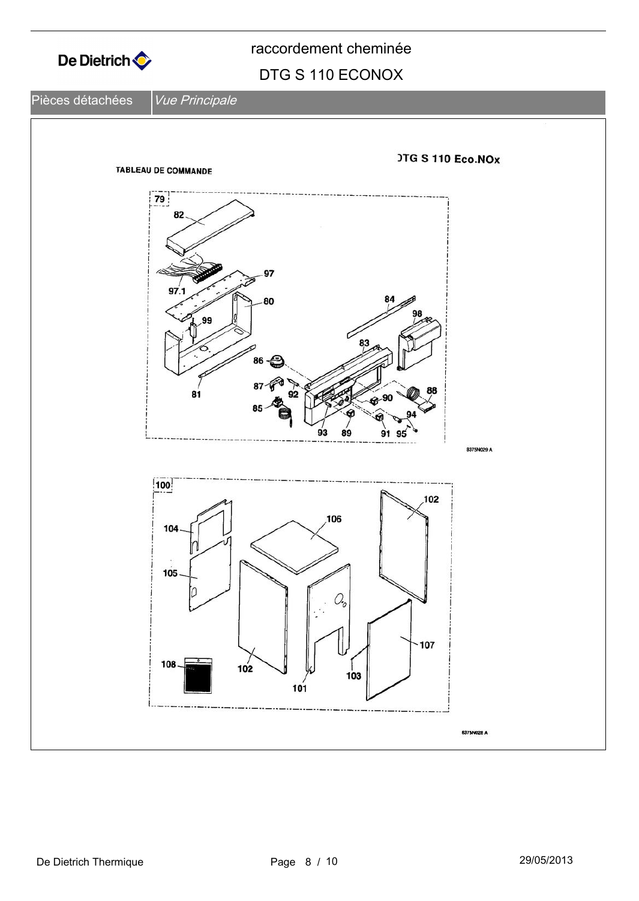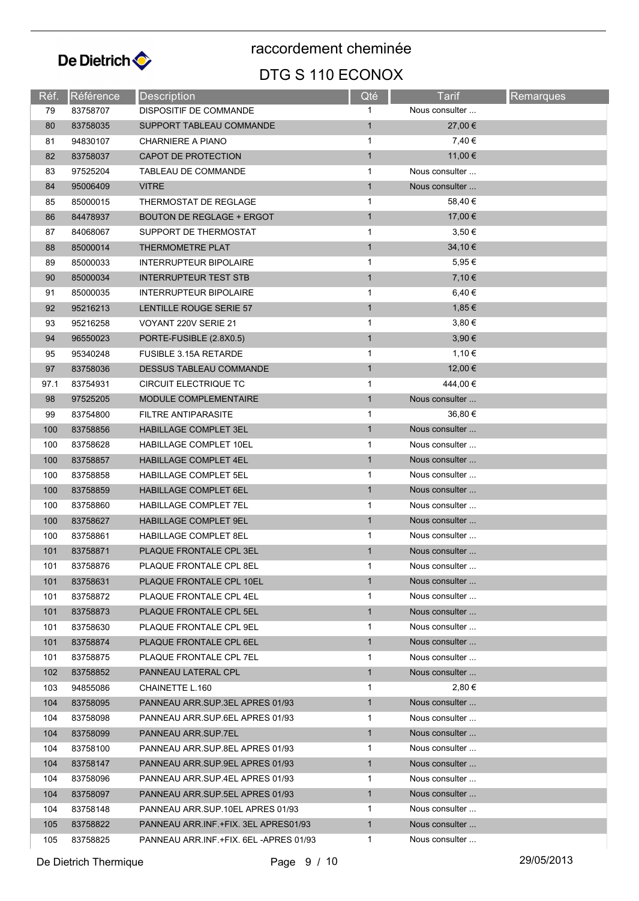

| Réf. | Référence | <b>Description</b>                    | Qté          | Tarif          | Remarques |
|------|-----------|---------------------------------------|--------------|----------------|-----------|
| 79   | 83758707  | DISPOSITIF DE COMMANDE                | 1            | Nous consulter |           |
| 80   | 83758035  | SUPPORT TABLEAU COMMANDE              | $\mathbf{1}$ | 27,00 €        |           |
| 81   | 94830107  | <b>CHARNIERE A PIANO</b>              | $\mathbf{1}$ | 7,40 €         |           |
| 82   | 83758037  | CAPOT DE PROTECTION                   | $\mathbf{1}$ | 11,00 €        |           |
| 83   | 97525204  | TABLEAU DE COMMANDE                   | $\mathbf{1}$ | Nous consulter |           |
| 84   | 95006409  | <b>VITRE</b>                          | $\mathbf{1}$ | Nous consulter |           |
| 85   | 85000015  | THERMOSTAT DE REGLAGE                 | $\mathbf{1}$ | 58,40 €        |           |
| 86   | 84478937  | <b>BOUTON DE REGLAGE + ERGOT</b>      | $\mathbf{1}$ | 17,00 €        |           |
| 87   | 84068067  | SUPPORT DE THERMOSTAT                 | $\mathbf{1}$ | 3,50€          |           |
| 88   | 85000014  | THERMOMETRE PLAT                      | $\mathbf{1}$ | 34,10 €        |           |
| 89   | 85000033  | <b>INTERRUPTEUR BIPOLAIRE</b>         | $\mathbf{1}$ | 5,95€          |           |
| 90   | 85000034  | <b>INTERRUPTEUR TEST STB</b>          | $\mathbf{1}$ | 7,10 €         |           |
| 91   | 85000035  | <b>INTERRUPTEUR BIPOLAIRE</b>         | $\mathbf{1}$ | 6,40 €         |           |
| 92   | 95216213  | LENTILLE ROUGE SERIE 57               | $\mathbf{1}$ | 1,85 €         |           |
| 93   | 95216258  | VOYANT 220V SERIE 21                  | $\mathbf{1}$ | 3,80€          |           |
| 94   | 96550023  | PORTE-FUSIBLE (2.8X0.5)               | $\mathbf{1}$ | 3,90 €         |           |
| 95   | 95340248  | <b>FUSIBLE 3.15A RETARDE</b>          | $\mathbf{1}$ | 1,10 €         |           |
| 97   | 83758036  | <b>DESSUS TABLEAU COMMANDE</b>        | $\mathbf{1}$ | 12,00 €        |           |
| 97.1 | 83754931  | CIRCUIT ELECTRIQUE TC                 | $\mathbf{1}$ | 444,00 €       |           |
| 98   | 97525205  | MODULE COMPLEMENTAIRE                 | $\mathbf{1}$ | Nous consulter |           |
| 99   | 83754800  | <b>FILTRE ANTIPARASITE</b>            | $\mathbf{1}$ | 36,80 €        |           |
| 100  | 83758856  | <b>HABILLAGE COMPLET 3EL</b>          | $\mathbf{1}$ | Nous consulter |           |
| 100  | 83758628  | <b>HABILLAGE COMPLET 10EL</b>         | 1            | Nous consulter |           |
| 100  | 83758857  | <b>HABILLAGE COMPLET 4EL</b>          | $\mathbf{1}$ | Nous consulter |           |
| 100  | 83758858  | HABILLAGE COMPLET 5EL                 | $\mathbf{1}$ | Nous consulter |           |
| 100  | 83758859  | <b>HABILLAGE COMPLET 6EL</b>          | $\mathbf{1}$ | Nous consulter |           |
| 100  | 83758860  | HABILLAGE COMPLET 7EL                 | $\mathbf{1}$ | Nous consulter |           |
| 100  | 83758627  | <b>HABILLAGE COMPLET 9EL</b>          | $\mathbf{1}$ | Nous consulter |           |
| 100  | 83758861  | HABILLAGE COMPLET 8EL                 | $\mathbf{1}$ | Nous consulter |           |
| 101  | 83758871  | PLAQUE FRONTALE CPL 3EL               | $\mathbf{1}$ | Nous consulter |           |
| 101  | 83758876  | PLAQUE FRONTALE CPL 8EL               | $\mathbf{1}$ | Nous consulter |           |
| 101  | 83758631  | PLAQUE FRONTALE CPL 10EL              | $\mathbf{1}$ | Nous consulter |           |
| 101  | 83758872  | PLAQUE FRONTALE CPL 4EL               | 1            | Nous consulter |           |
| 101  | 83758873  | PLAQUE FRONTALE CPL 5EL               | $\mathbf{1}$ | Nous consulter |           |
| 101  | 83758630  | PLAQUE FRONTALE CPL 9EL               | $\mathbf 1$  | Nous consulter |           |
| 101  | 83758874  | PLAQUE FRONTALE CPL 6EL               | $\mathbf{1}$ | Nous consulter |           |
| 101  | 83758875  | PLAQUE FRONTALE CPL 7EL               | 1            | Nous consulter |           |
| 102  | 83758852  | PANNEAU LATERAL CPL                   | $\mathbf{1}$ | Nous consulter |           |
| 103  | 94855086  | CHAINETTE L.160                       | $\mathbf 1$  | 2,80€          |           |
| 104  | 83758095  | PANNEAU ARR.SUP.3EL APRES 01/93       | $\mathbf{1}$ | Nous consulter |           |
| 104  | 83758098  | PANNEAU ARR.SUP.6EL APRES 01/93       | $\mathbf{1}$ | Nous consulter |           |
| 104  | 83758099  | PANNEAU ARR.SUP.7EL                   | $\mathbf{1}$ | Nous consulter |           |
| 104  | 83758100  | PANNEAU ARR.SUP.8EL APRES 01/93       | $\mathbf 1$  | Nous consulter |           |
| 104  | 83758147  | PANNEAU ARR.SUP.9EL APRES 01/93       | $\mathbf{1}$ | Nous consulter |           |
| 104  | 83758096  | PANNEAU ARR.SUP.4EL APRES 01/93       | 1            | Nous consulter |           |
| 104  | 83758097  | PANNEAU ARR.SUP.5EL APRES 01/93       | $\mathbf{1}$ | Nous consulter |           |
| 104  | 83758148  | PANNEAU ARR SUP 10EL APRES 01/93      | $\mathbf{1}$ | Nous consulter |           |
| 105  | 83758822  | PANNEAU ARR.INF.+FIX. 3EL APRES01/93  | $\mathbf{1}$ | Nous consulter |           |
| 105  | 83758825  | PANNEAU ARR.INF.+FIX. 6EL-APRES 01/93 | $\mathbf 1$  | Nous consulter |           |